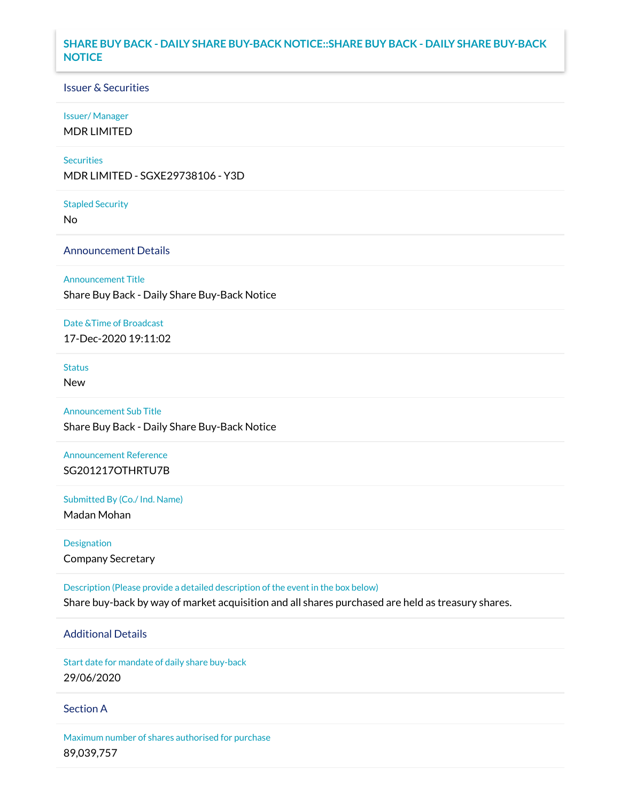## **SHARE BUY BACK - DAILY SHARE BUY-BACK NOTICE::SHARE BUY BACK - DAILY SHARE BUY-BACK NOTICE**

### Issuer & Securities

#### Issuer/ Manager

MDR LIMITED

#### **Securities**

MDR LIMITED - SGXE29738106 - Y3D

#### Stapled Security

No

### Announcement Details

Announcement Title

Share Buy Back - Daily Share Buy-Back Notice

### Date &Time of Broadcast

17-Dec-2020 19:11:02

# Status

New

# Announcement Sub Title Share Buy Back - Daily Share Buy-Back Notice

Announcement Reference SG201217OTHRTU7B

Submitted By (Co./ Ind. Name)

Madan Mohan

Designation Company Secretary

Description (Please provide a detailed description of the event in the box below) Share buy-back by way of market acquisition and all shares purchased are held as treasury shares.

# Additional Details

Start date for mandate of daily share buy-back 29/06/2020

### Section A

Maximum number of shares authorised for purchase 89,039,757